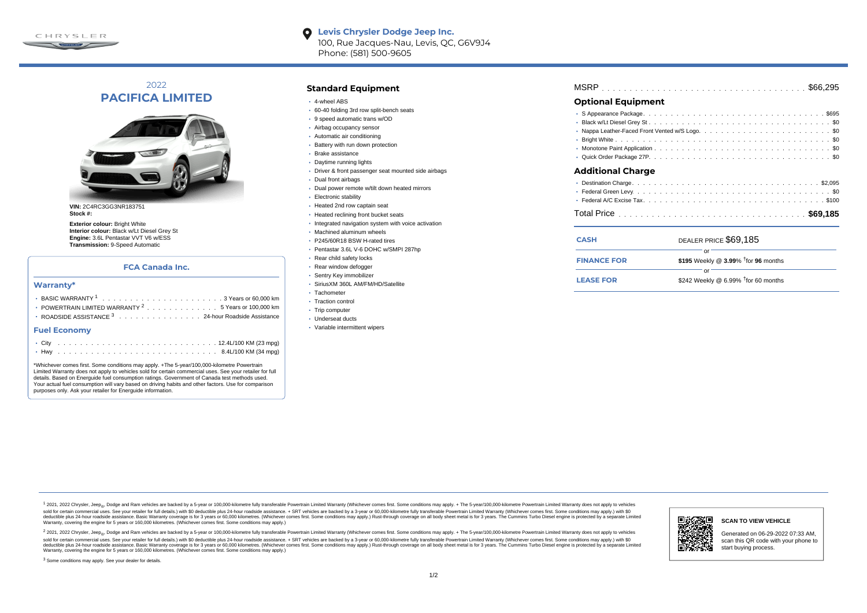

**Levis Chrysler Dodge Jeep Inc.**  $\bullet$ 100, Rue Jacques-Nau, Levis, QC, G6V9J4 Phone: (581) 500-9605

# 2022 **PACIFICA LIMITED**



**VIN:** 2C4RC3GG3NR183751 **Stock #:**

**Exterior colour: Bright White Interior colour:** Black w/Lt Diesel Grey St **Engine:** 3.6L Pentastar VVT V6 w/ESS **Transmission:** 9-Speed Automatic

### **FCA Canada Inc.**

#### **Warranty\***

| $\cdot$ POWERTRAIN LIMITED WARRANTY $^2$ , , , , , , , , , , , , , , 5 Years or 100,000 km |
|--------------------------------------------------------------------------------------------|
| <b>ROADSIDE ASSISTANCE</b> $3$ 24-hour Roadside Assistance                                 |
| <b>Fuel Economy</b>                                                                        |
|                                                                                            |

\*Whichever comes first. Some conditions may apply. +The 5-year/100,000-kilometre Powertrain Limited Warranty does not apply to vehicles sold for certain commercial uses. See your retailer for full details. Based on Energuide fuel consumption ratings. Government of Canada test methods used. Your actual fuel consumption will vary based on driving habits and other factors. Use for comparison purposes only. Ask your retailer for Energuide information.

. . . . . . . . . . . . . . . . . . . . . . . . . . . . . . . . . . . . . . . . . . . Hwy 8.4L/100 KM (34 mpg)

## **Standard Equipment**

- 4-wheel ABS
- 60-40 folding 3rd row split-bench seats
- 9 speed automatic trans w/OD
- Airbag occupancy sensor
- Automatic air conditioning
- Battery with run down protection
- Brake assistance
- Daytime running lights
- Driver & front passenger seat mounted side airbags
- Dual front airbags
- Dual power remote w/tilt down heated mirrors
- **Electronic stability**
- Heated 2nd row captain seat
- Heated reclining front bucket seats
- Integrated navigation system with voice activation
- Machined aluminum wheels
- P245/60R18 BSW H-rated tires
- Pentastar 3.6L V-6 DOHC w/SMPI 287hp
- Rear child safety locks
- Rear window defogger
- Sentry Key immobilizer
- SiriusXM 360L AM/FM/HD/Satellite
- Tachometer
- Traction control
- Trip computer
- Underseat ducts
- Variable intermittent wipers

| <b>Optional Equipment</b> |  |  |  |  |  |  |  |  |  |  |  |  |  |  |  |  |  |
|---------------------------|--|--|--|--|--|--|--|--|--|--|--|--|--|--|--|--|--|
|                           |  |  |  |  |  |  |  |  |  |  |  |  |  |  |  |  |  |

## **Additional Charge**

| <b>CASH</b>        | DEALER PRICE \$69,185                              |
|--------------------|----------------------------------------------------|
| <b>FINANCE FOR</b> | \$195 Weekly @ $3.99\%$ <sup>†</sup> for 96 months |
| <b>LEASE FOR</b>   | റ്റ്<br>\$242 Weekly @ 6.99% $†$ for 60 months     |

1 2021, 2022 Chrysler, Jeep.... Dodge and Ram vehicles are backed by a 5-year or 100,000-kilometre fully transferable Powertrain Limited Warranty (Whichever comes first. Some conditions may apply. + The 5-year/100,000-kilo sold for certain commercial uses. See your retailer for full details) with \$0 deductible plus 24-hour madside assistance. + SRT vehicles are backed by a 3-year or 60.000-kilometre fully transferable Powertrain Limited Warr detuctible plus 24-hour roadside assistance. Basic Warranty coverage is for 3 years or 60,000 kilometres. Whichever comes first. Some conditions may apply.) Rust-through coverage on all body sheet metals for 3 years. The C Warranty, covering the engine for 5 years or 160,000 kilometres. (Whichever comes first. Some conditions may apply.)

2 2021, 2022 Chrysler, Jeep<sub>e</sub>, Dodge and Ram vehicles are backed by a 5-year or 100,000-kilometre fully transferable Powertrain Limited Warranty (Whichever comes first. Some conditions may apply. + The 5-year/100,000-kilo sold for certain commercial uses. See your retailer for full details.) with \$0 deductible plus 24-hour roadside assistance. + SRT vehicles are backed by a 3-year or 60.000-kilometre fully transferable Powertrain Limited Wa deductible plus 24-hour roadside assistance. Basic Warranty coverage is for 3 years or 60,000 kilometres. (Whichever comes first. Some conditions may apply.) Rust-through coverage on all body sheet metal is for 3 years. Th



### **SCAN TO VIEW VEHICLE**

Generated on 06-29-2022 07:33 AM, scan this QR code with your phone to start buying process.

<sup>3</sup> Some conditions may apply. See your dealer for details.